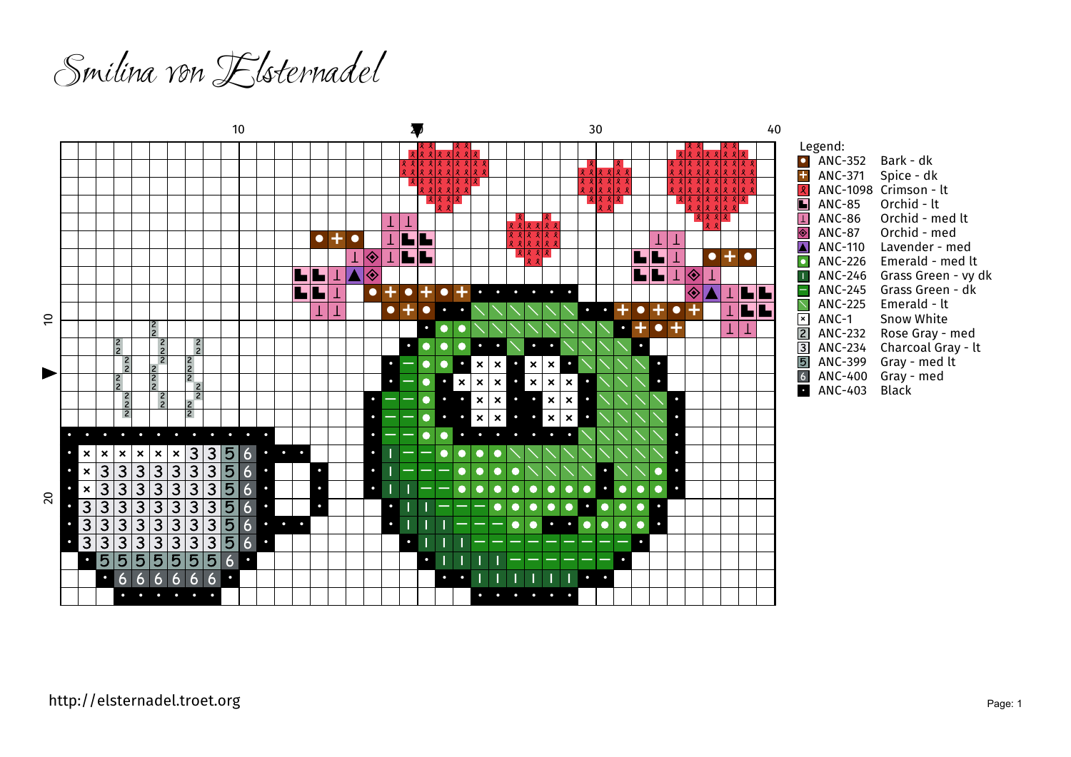Smilina von Elsternadel